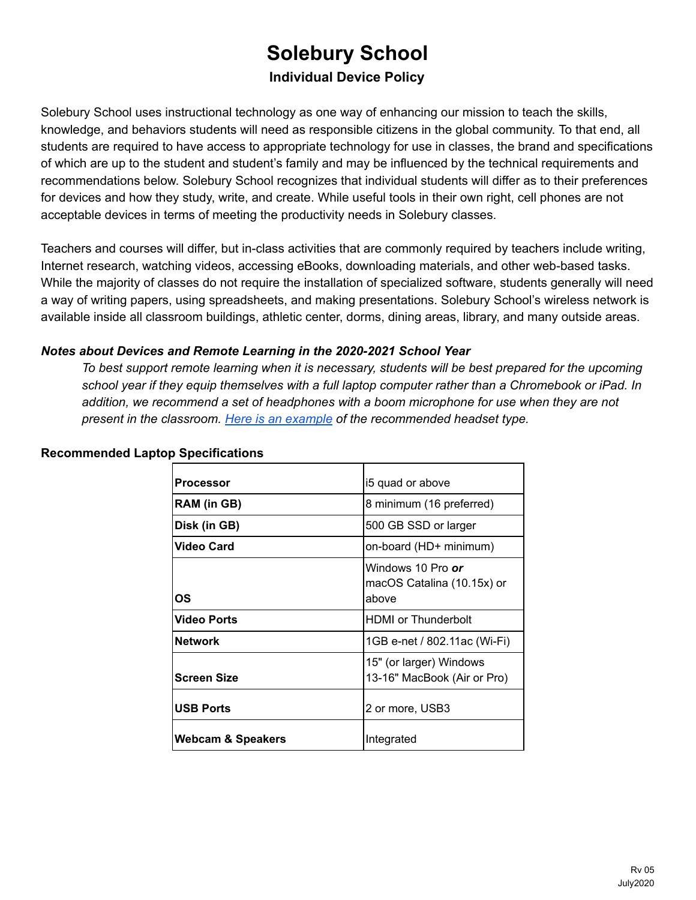## **Solebury School Individual Device Policy**

Solebury School uses instructional technology as one way of enhancing our mission to teach the skills, knowledge, and behaviors students will need as responsible citizens in the global community. To that end, all students are required to have access to appropriate technology for use in classes, the brand and specifications of which are up to the student and student's family and may be influenced by the technical requirements and recommendations below. Solebury School recognizes that individual students will differ as to their preferences for devices and how they study, write, and create. While useful tools in their own right, cell phones are not acceptable devices in terms of meeting the productivity needs in Solebury classes.

Teachers and courses will differ, but in-class activities that are commonly required by teachers include writing, Internet research, watching videos, accessing eBooks, downloading materials, and other web-based tasks. While the majority of classes do not require the installation of specialized software, students generally will need a way of writing papers, using spreadsheets, and making presentations. Solebury School's wireless network is available inside all classroom buildings, athletic center, dorms, dining areas, library, and many outside areas.

## *Notes about Devices and Remote Learning in the 2020-2021 School Year*

*To best support remote learning when it is necessary, students will be best prepared for the upcoming* school year if they equip themselves with a full laptop computer rather than a Chromebook or iPad. In *addition, we recommend a set of headphones with a boom microphone for use when they are not present in the classroom. Here is an [example](https://www.amazon.com/gp/product/B000UXZQ42/ref=ppx_yo_dt_b_search_asin_title?ie=UTF8&psc=1) of the recommended headset type.*

| <b>Processor</b>             | i5 quad or above                                                |
|------------------------------|-----------------------------------------------------------------|
| <b>RAM</b> (in GB)           | 8 minimum (16 preferred)                                        |
| Disk (in GB)                 | 500 GB SSD or larger                                            |
| <b>Video Card</b>            | on-board (HD+ minimum)                                          |
| ΟS                           | Windows 10 Pro <i>or</i><br>macOS Catalina (10.15x) or<br>above |
| <b>Video Ports</b>           | <b>HDMI</b> or Thunderbolt                                      |
| <b>Network</b>               | 1GB e-net / 802.11ac (Wi-Fi)                                    |
| <b>Screen Size</b>           | 15" (or larger) Windows<br>13-16" MacBook (Air or Pro)          |
| <b>USB Ports</b>             | 2 or more, USB3                                                 |
| <b>Webcam &amp; Speakers</b> | Integrated                                                      |

## **Recommended Laptop Specifications**